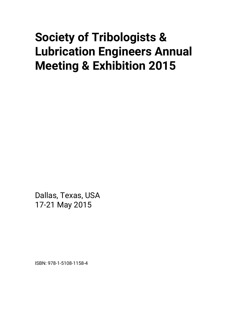# **Society of Tribologists & Lubrication Engineers Annual Meeting & Exhibition 2015**

Dallas, Texas, USA 17-21 May 2015

ISBN: 978-1-5108-1158-4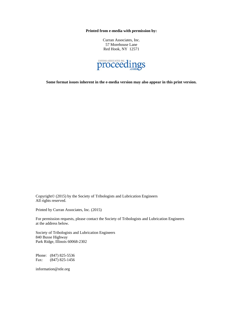**Printed from e-media with permission by:** 

Curran Associates, Inc. 57 Morehouse Lane Red Hook, NY 12571



**Some format issues inherent in the e-media version may also appear in this print version.** 

Copyright© (2015) by the Society of Tribologists and Lubrication Engineers All rights reserved.

Printed by Curran Associates, Inc. (2015)

For permission requests, please contact the Society of Tribologists and Lubrication Engineers at the address below.

Society of Tribologists and Lubrication Engineers 840 Busse Highway Park Ridge, Illinois 60068-2302

Phone: (847) 825-5536 Fax: (847) 825-1456

information@stle.org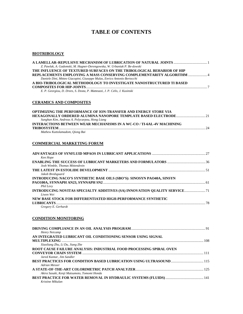# **TABLE OF CONTENTS**

#### **BIOTRIBOLOGY**

| Z. Pawlak, A. Gadomski, M. Hagner-Derengowska, W. Urbaniak P. Be-dowski  |               |
|--------------------------------------------------------------------------|---------------|
| THE INFLUENCE OF TEXTURED SURFACES ON THE TRIBOLOGICAL BEHABIOR OF HIP   |               |
| REPLACEMENTS EMPLOYING A MASS CONSERVING COMPLEMENTARITY ALGORITHM       |               |
| Daniele Dini, Mttteo Giacopini, Giuseppe Mulas, Enrico Antonio Bertocchi |               |
| A BIO-TRIBOLOGICAL METHODOLOGY TO INVESTIGATE NANOSTRUCTURED TI BASED    |               |
|                                                                          | $\mathcal{L}$ |
| rna : nn an nu , inalize li                                              |               |

*E. P. Georgiou, D. Drees, S. Dosta, P. Matteazzi, J. P. Celis, J. Kusinski* 

## **CERAMICS AND COMPOSITES**

| <b>OPTIMIZING THE PERFORMANCE OF ION-TRANSFER AND ENERGY STORE VIA</b> |    |
|------------------------------------------------------------------------|----|
|                                                                        |    |
| Sunghan Kim, Andreas A. Polycarpou, Hong Liang                         |    |
| INTERACTIONS BETWEEN WEAR MECHANISMS IN A WC-CO / TI-6AL-4V MACHINING  |    |
|                                                                        | 24 |
| Mathew Kuttolamadom, Oiong Bai                                         |    |

### **COMMERCIAL MARKETING FORUM**

| Ken Hope                                                               |  |
|------------------------------------------------------------------------|--|
| Josh Wimble, Thomas Mittendrein                                        |  |
|                                                                        |  |
| Jakob Bredsguard                                                       |  |
| INTRODUCING NACO'S SYNTHETIC BASE OILS (SBO'S): SINOSYN PAO40A, SINSYN |  |
| Phil Levy                                                              |  |
|                                                                        |  |
| Liwen Wei                                                              |  |
| NEW BASE STOCK FOR DIFFERENTIATED HIGH-PERFORMANCE SYNTHETIC           |  |
|                                                                        |  |
| Gregory E. Gerhardt                                                    |  |

## **CONDITION MONITORING**

| Henry Neicamp                                                       |  |
|---------------------------------------------------------------------|--|
| AN INTEGRATED LUBRICANT OIL CONDITIONING SENSOR USING SIGNAL        |  |
|                                                                     |  |
| Xiaoliang Zhu, Li Du, Jiang Zhe                                     |  |
| ROOT CAUSE FAILURE ANALYSIS: INDUSTRIAL FOOD PROCESSING SPIRAL OVEN |  |
|                                                                     |  |
| Jared Kantar, Jim Sandler                                           |  |
|                                                                     |  |
| Adrian Messer                                                       |  |
|                                                                     |  |
| Akira Sasaki, Kenji Matsumoto, Tomomi Honda                         |  |
|                                                                     |  |
| Kristine Mikulan                                                    |  |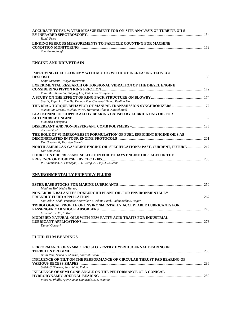| ACCURATE TOTAL WATER MEASUREMENT FOR ON-SITE ANALYSIS OF TURBINE OILS |  |
|-----------------------------------------------------------------------|--|
|                                                                       |  |
| Randi Price                                                           |  |
| LINKING FERROUS MEASUREMENTS TO PARTICLE COUNTING FOR MACHINE         |  |
|                                                                       |  |
| Tom Barraclough                                                       |  |

# **ENGINE AND DRIVETRAIN**

| <b>IMPROVING FUEL ECONOMY WITH MODTC WITHOUT INCREASING TEOST33C</b>          |  |
|-------------------------------------------------------------------------------|--|
| <b>DESPOSIT</b>                                                               |  |
| Kenji Yamamto, Yukiya Moriizumi                                               |  |
| <b>EXPERIMENTAL RESEARCH OF TORSIONAL VIBRATION OF THE DIESEL ENGINE</b>      |  |
|                                                                               |  |
| Xuan Ma, Xiqun Lu, Zhigang Liu, Yibin Guo, Wanyou Li                          |  |
|                                                                               |  |
| Shu Li, Xiqun Lu, Tao He, Dequan Zou, Chengkai Zhang, Renlian Ma              |  |
|                                                                               |  |
| Maximilian Strebel, Michael Wirth, Hermann Pflaum, Karstel Stahl              |  |
| <b>BLACKENING OF COPPER ALLOY BEARING CAUSED BY LUBRICATING OIL FOR</b>       |  |
|                                                                               |  |
| Fumihiko Yokovama                                                             |  |
|                                                                               |  |
| <b>Torsten Stoehr</b>                                                         |  |
|                                                                               |  |
| THE ROLE OF VI IMPROVERS IN FORMULATION OF FUEL EFFICIENT ENGINE OILS AS      |  |
|                                                                               |  |
| Don Smolenski, Thorsten Bartels                                               |  |
| NORTH AMERICAN GASOLINE ENGINE OIL SPECIFICATIONS: PAST, CURRENT, FUTURE  217 |  |
| Don Smolenski                                                                 |  |
| POUR POINT DEPRESSANT SELECTION FOR TODAYS ENGINE OILS AGED IN THE            |  |
|                                                                               |  |
| P. Hutchinson, A. Flanagan, J. L. Wang, A. Tsay, J. Souchik                   |  |
|                                                                               |  |

## **ENVIRONMENTALLY FRIENDLY FLUIDS**

| Matthias Hof, Nadja Herzog                                                |     |
|---------------------------------------------------------------------------|-----|
| NON-EDIBLE BALANITES ROXBURGHII PLANT OIL FOR ENVIRONMENTALLY             |     |
|                                                                           | 267 |
| Shailesh N. Shah, Priyanka Khanvilkar, Girshma Patel, Padamnabhi S. Nagar |     |
| <b>TRIBOLOGICAL PROFILE OF ENVIRONMENTALLY ACCEPTABLE LUBRICANTS FOR</b>  |     |
|                                                                           |     |
| C. Scholz, Y. Ito, S. Kato                                                |     |
| MODIFIED NATURAL OILS WITH NEW FATTY ACID TRAITS FOR INDUSTRIAL           |     |
|                                                                           |     |
| Daniel Garbark                                                            |     |

# **FLUID FILM BEARINGS**

| PERFORMANCE OF SYMMETRIC SLOT-ENTRY HYBRID JOURNAL BEARING IN          |     |
|------------------------------------------------------------------------|-----|
|                                                                        | 283 |
| Nathi Ram, Satish C. Sharma, Saurabh Yadav                             |     |
| INFLUENCE OF TILT ON THE PERFORMANCE OF CIRCULAR THRUST PAD BEARING OF |     |
|                                                                        |     |
| Satish C. Sharma, Saurabh K. Yadav                                     |     |
| INFLUENCE OF SEMI CONE ANGLE ON THE PERFORMANCE OF A CONICAL           |     |
|                                                                        | 289 |
| Vikas M. Phalle, Ajay Kumar Gangrade, S. S. Mantha                     |     |
|                                                                        |     |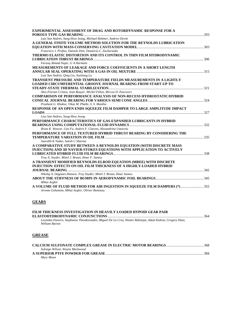| EXPERIMENTAL ASSESSMENT OF DRAG AND ROTORDYNAMIC RESPONSE FOR A<br>$\sim$ 293                                                 |  |
|-------------------------------------------------------------------------------------------------------------------------------|--|
| Luis San Andrés, Sung-Hwa Jeung, Michael Rohmer, Andrew Devitt                                                                |  |
| A GENERAL FINITE VOLUME METHOD SOLUTION FOR THE REYNOLDS LUBRICATION                                                          |  |
|                                                                                                                               |  |
| Francisco J. Profito, Daniele Dini, Demetrio C. Zachariadis                                                                   |  |
| THERMO ELASTIC DISTORTION AND ITS CONTROL IN THIN FILM HYDRODYNAMIC                                                           |  |
|                                                                                                                               |  |
| Farooq Ahmad Najar, G A Harmain                                                                                               |  |
| MEASUREMENTS OF LEAKAGE AND FORCE COEFFICIENTS IN A SHORT LENGTH                                                              |  |
|                                                                                                                               |  |
| Luis San Andrés, Qing Liu, Xueliang Lu                                                                                        |  |
| <b>TRANSIENT PRESSURE AND TEMPERATURE FIELDS MEASUREMENTS IN A LIGHTLY</b>                                                    |  |
| <b>LOADED CIRCUMFERENTIAL GROOVE JOURNAL BEARING FROM START-UP TO</b>                                                         |  |
|                                                                                                                               |  |
| Alex-Florian Cristea, Jean Bouyer, Michel Fillon, Mircea D. Pascovici                                                         |  |
| <b>COMPARISON OF PERFORMANCE ANALYSIS OF NON-RECESS HYDROSTATIC/HYBRID</b>                                                    |  |
|                                                                                                                               |  |
| Prashant G. Khakse, Vikas M. Phalle, S. S. Mantha                                                                             |  |
| RESPONSE OF AN OPEN ENDS SQUEEZE FILM DAMPER TO LARGE AMPLITUDE IMPACT                                                        |  |
|                                                                                                                               |  |
| Lius San Andres, Sung-Hwa Jeung                                                                                               |  |
| PERFORMANCE CHARACTERISTICS OF GAS-EXPANDED LUBRICANTS IN HYBRID                                                              |  |
|                                                                                                                               |  |
| Brian K. Weaver, Gen Fu, Andres F. Clarens, Alexandrina Untaroiu                                                              |  |
| PERFORMANCE OF FULL TEXTURED HYBRID THRUST BEARING BY CONSIDERING THE                                                         |  |
|                                                                                                                               |  |
| Saurabh K Yadav, Satish C Sharma                                                                                              |  |
| A COMPARATIVE STUDY BETWEEN A REYNOLDS EQUATION (WITH DISCRETE MASS                                                           |  |
| INJECTION) AND 3D NAVIER-STOKES EQUATIONS WITH APPLICATION TO ACTIVELY                                                        |  |
|                                                                                                                               |  |
| Troy A. Snyder, Minel J. Braun, Ilmar F. Santos                                                                               |  |
| A TRANSIENT MODIFIED REYNOLDS-ELROD EQUATION (MREE) WITH DISCRETE                                                             |  |
| <b>INJECTION: EFFECTS ON OIL FILM THICKNESS OF A HIGHLY-LOADED HYBRID</b>                                                     |  |
|                                                                                                                               |  |
| Nikolaj A. Dagnaes-Hansen, Troy Snyder, Minel J. Braun, Ilmar Santos                                                          |  |
|                                                                                                                               |  |
| Mihai Arghir                                                                                                                  |  |
| A VOLUME OF FLUID METHOD FOR AIR INGESTION IN SOUEEZE FILM DAMPERS (*)  355<br>Jerome Gehannin, Mihai Arghir, Olivier Bonneau |  |

# **GEARS**

| FILM THICKNESS INVESTIGATION IN HEAVILY LOADED HYPOID GEAR PAIR                                                            | 364 |
|----------------------------------------------------------------------------------------------------------------------------|-----|
| Leonidas Paouris, Stephanos Theodossiades, Miguel De La Cruz, Homer Rahnejat, Adam Kidson, Gregory Hunt,<br>William Barton |     |
| <b>GREASE</b>                                                                                                              |     |

| Solongo Wilson, Wayne Mackwood |  |
|--------------------------------|--|
|                                |  |
| Mary Moon                      |  |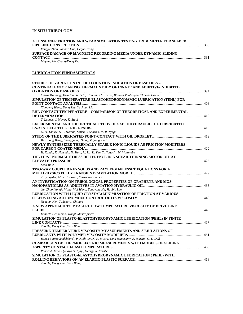# **IN SITU TRIBOLOGY**

| A TENSIONER FRICTION AND WEAR SIMULATION TESTING TRIBOMETER FOR SEABED |       |
|------------------------------------------------------------------------|-------|
|                                                                        | . 388 |
| Yongjie Zhou, Yanbao Guo, Deguo Wang                                   |       |
| SURFACE DAMAGE OF MAGNETIC RECORDING MEDIA UNDER DYNAMIC SLIDING       |       |
|                                                                        | -391  |
| Muyang He, Chang-Dong Yeo                                              |       |

# **LUBRICATION FUNDAMENTALS**

| STUDIES OF VARIATION IN THE OXIDATION INHIBITION OF BASE OILS –                             |     |
|---------------------------------------------------------------------------------------------|-----|
| <b>CONTINUATION OF AN ISOTHERMAL STUDY OF INNATE AND ADDITIVE-INHIBITED</b>                 |     |
|                                                                                             |     |
| Marta Manning, Theodore W. Selby, Jonathan C. Evans, William Vanbergen, Thomas Fischer      |     |
| SIMULATION OF TEMPERATURE-ELASTOHYDRODYNAMIC LUBRICATION (TEHL) FOR                         |     |
|                                                                                             |     |
| Xiaopeng Wang, Dong Zhu, Yuchuan Liu                                                        |     |
| EHL CONTACT TEMPERATURE - COMPARISON OF THEORETICAL AND EXPERIMENTAL                        |     |
|                                                                                             |     |
| T. Lohner, J. Mayer, K. Stahl                                                               |     |
| <b>EXPERIMENTAL AND THEORETICAL STUDY OF SAE 10 HYDRAULIC OIL LUBRICATED</b>                |     |
|                                                                                             |     |
| G. D. Thakre, S. P. Harsha, Satish C. Sharma, M. R. Tyagi                                   |     |
|                                                                                             |     |
| Wenzhong Wang, Shengguang Zhang, Ziqiang Zhao                                               |     |
| NEWLY-SYNTHESIZED THERMALLY-STABLE IONIC LIQUIDS AS FRICTION MODIFIERS                      |     |
|                                                                                             |     |
| H. Kondo, K. Hatsuda, N. Tano, M. Ito, K. Yun, T. Noguchi, M. Watanabe                      |     |
| THE FIRST NORMAL STRESS DIFFERENCE IN A SHEAR-THINNING MOTOR OIL AT                         |     |
|                                                                                             |     |
| <b>Scott Bair</b>                                                                           |     |
| TWO-WAY COUPLED REYNOLDS AND RAYLEIGH-PLESSET EQUATIONS FOR A                               |     |
|                                                                                             |     |
| Troy Snyder, Minel J. Braun, Kristopher Pierson                                             |     |
| AN INVESTIGATION ON TRIBOLOGICAL PROPERTIES OF GRAPHENE AND $\mathrm{MOS}_2$                |     |
|                                                                                             |     |
| Jun Zhao, Yongfu Wang, Wei Wang, Yongyong He, Jianbin Luo                                   |     |
| LUBRICATION WITH LIQUID CRYSTAL: MINIMIZATION OF FRICTION AT VARIOUS                        |     |
|                                                                                             | 440 |
| Nakano, Ken, Tadokoro, Chiharu                                                              |     |
| A NEW APPROACH TO MEASURE LOW TEMPERATURE VISCOSITY OF DRIVE LINE                           |     |
|                                                                                             |     |
| Kenneth Henderson, Joseph Mastropierro                                                      |     |
| SIMULATION OF PLASTO-ELASTOHYDRODYNAMIC LUBRICATION (PEHL) IN FINITE                        |     |
|                                                                                             |     |
| Tao He, Dong Zhu, Jiaxu Wang                                                                |     |
| PRESSURE-TEMPERATURE VISCOSITY MEASUREMENTS AND SIMULATIONS OF                              |     |
|                                                                                             |     |
| Babak Lotfizadehdehkordi, P. J. Shiller, K. K. Mistry, Uma Ramasamy, A. Martini, G. L. Doll |     |
| <b>COMPARISON OF THERMOELECTRIC MEASUREMENTS WITH MODELS OF SLIDING</b>                     |     |
|                                                                                             |     |
| Robert A. Erck, Oyelayo O. Ajayi, George R. Fenske                                          |     |
| SIMULATION OF PLASTO-ELASTOHYDRODYNAMIC LUBRICATION ( PEHL) WITH                            |     |
|                                                                                             |     |
| Tao He, Dong Zhu, Jiaxu Wang                                                                |     |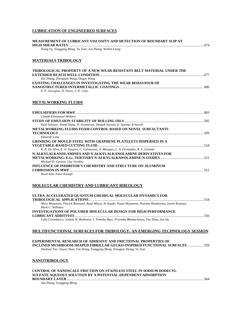## **LUBRICATION OF ENGINEERED SURFACES**

| MEASUREMENT OF LUBRICANT VISCOSITY AND DETECTION OF BOUNDARY SLIP AT |  |
|----------------------------------------------------------------------|--|
|                                                                      |  |
| Xiang Yu, Yonggang Meng, Yu Tian, Jun Zhang, Weibin Liang            |  |

#### **MATERIALS TRIBOLOGY**

| <b>TRIBOLOGICAL PROPERTY OF A NEW WEAR-RESISTANT BELT MATERIAL UNDER THE</b> |       |
|------------------------------------------------------------------------------|-------|
|                                                                              |       |
| Kai Zhang, Zhenquan Wang, Deguo Wang                                         |       |
| <b>EXISTING CHALLENGES IN INVESTIGATING THE WEAR BEHAVIOUR OF</b>            |       |
|                                                                              | . 480 |
| E. P. Georgiou, D. Drees, J.-P. Celis                                        |       |

#### **METALWORKING FLUIDS**

| Claude-Emmanuel Hédoire                                                               |  |
|---------------------------------------------------------------------------------------|--|
|                                                                                       |  |
| Paul Subinoy, Simmi Datta, N. Sivasurian, Deepak Saxena, E. Sayana, R Suresh          |  |
| <b>METALWORKING FLUIDS FOAM CONTROL BASED ON NOVEL SURFACTANTS</b>                    |  |
|                                                                                       |  |
| Eduardo Lima                                                                          |  |
| <b>GRINDING OF MOULD STEEL WITH GRAPHENE PLATELETS DISPERSED IN A</b>                 |  |
|                                                                                       |  |
| R. B. Da Silva, E. O. Ezugwu, C. Guimaraes, A. Marques, L. A. Fernandes, R. V. Gelamo |  |
| N-ALKYLALKANOLAMINES AND N-ALKYLALKANOLAMINE DERIVATIVES FOR                          |  |
|                                                                                       |  |
| Michael D. Gernon, Guy Verdino                                                        |  |
| INFLUENCE OF INHIBITOR'S CHEMISTRY AND STRUCTURE ON ALUMINUM                          |  |
|                                                                                       |  |
| Hoon Kim, Peter Konopi                                                                |  |
|                                                                                       |  |

#### **MOLECULAR CHEMISTRY AND LUBRICANT RHEOLOGY**

| ULTRA-ACCELERATED QUANTUM CHEMICAL MOLECULAR DYNAMICS FOR                                                                    | 554 |
|------------------------------------------------------------------------------------------------------------------------------|-----|
| Akira Miyamoto, Patrick Bonnaud, Ryuji Miura, Ai Suzuki, Naoto Miyamoto, Nozomu Hatakeyma, Sumio Kozawa,<br>Mark C. Williams |     |
| <b>INVESTIGATIONS OF POLYMER MOLECULAR DESIGN FOR HIGH PERFORMANCE</b>                                                       |     |
|                                                                                                                              | 556 |
| Lelia Cosimbescu, Joshua W. Robinson, J. Timothy Bays, Priyanka Bhattacharya, Yan Zhou, Jun Qu                               |     |

#### **MULTIFUNCTIONAL SURFACES FOR TRIBOLOGY: AN EMERGING TECHNOLOGY SESSION**

## **EXPERIMENTAL RESEARCH OF ADHESIVE AND FRICTIONAL PROPERTIES OF INCLINED MUSHROOM-SHAPED FIBRILLAR GECKO-INSPIRED FUNCTIONAL SURFACES** .................. 559

*Dashuai Tao, Jinyou Shao, Yue Wang, Yonggang Meng, Xiangjun Zhang, Yu Tian* 

#### **NANOTRIBOLOGY**

**CONTROL OF NANOSCALE FRICTION ON STAINLESS STEEL IN SODIUM DODECYL SULFATE AQUEOUS SOLUTION BY A POTENTIAL-DEPENDENT ADSORPTION BOUNDARY LAYER** ....................................................................................................................................................... 564

*Jun Zhang, Yonggang Meng*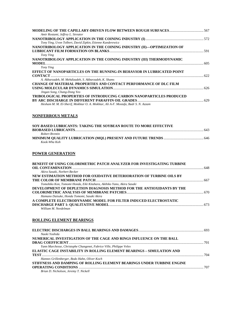| Amir Rostami, Jeffrey L. Streator                                                 |  |
|-----------------------------------------------------------------------------------|--|
|                                                                                   |  |
| Tony Ying, Uvon Tolbert, David Zipkin, Etienne Kunderewicz                        |  |
| NANOTRIBOLOGY APPLICATION IN THE COINING INDUSTRY (II)-OPTIMIZATION OF            |  |
|                                                                                   |  |
| Tony Ying                                                                         |  |
| NANOTRIBOLOGY APPLICATION IN THE COINING INDUSTRY (III) THERMODYNAMIC             |  |
| <b>MODEL</b>                                                                      |  |
| Tony Ying                                                                         |  |
| EFFECT OF NANOPARTICLES ON THE RUNNING-IN BEHAVIOR IN LUBRICATED POINT            |  |
| <b>CONTACT</b>                                                                    |  |
| A. Akbarzadeh, M. Mehdizadeh, S. Akbarzadeh, K. Shams                             |  |
| <b>CHANGE OF MATERIAL PROPERTIES AND CONTACT PERFORMANCE OF DLC FILM</b>          |  |
|                                                                                   |  |
| Jingan Song, Chang-Dong Yeo                                                       |  |
| <b>TRIBOLOGICAL PROPERTIES OF INTRODUCING CARBON NANOPARTICLES PRODUCED</b>       |  |
|                                                                                   |  |
| Hesham M. M. El-Sherif, Mokhtar O. A. Mokhtar, Ali A-F. Mostafa, Badr S. N. Azzam |  |

# **NONFERROUS METALS**

| SOY-BASED LUBRICANTS: TAKING THE SOYBEAN ROUTE TO MORE EFFECTIVE |       |
|------------------------------------------------------------------|-------|
|                                                                  | . 643 |
| Robert Brentin                                                   |       |
|                                                                  |       |
| Kook-Wha Koh                                                     |       |

# **POWER GENERATION**

| <b>BENEFIT OF USING COLORIMETRIC PATCH ANALYZER FOR INVESTIGATING TURBINE</b> |  |
|-------------------------------------------------------------------------------|--|
|                                                                               |  |
| Akira Sasaki, Norbert Becker                                                  |  |
| NEW ESTIMATION METHOD FOR OXIDATIVE DETERIORATION OF TURBINE OILS BY          |  |
|                                                                               |  |
| Tomohiko Kon, Tomomi Honda, Eiki Kitahara, Akihiko Yano, Akira Sasaki         |  |
| DEVELOPMENT OF DEPLETION DIAGNOSIS METHOD FOR THE ANTIOXIDANTS BY THE         |  |
|                                                                               |  |
| Hamano Daisuke, Honda Tomomi, Sasaki Akira                                    |  |
| A COMPLETE ELECTRODYNAMIC MODEL FOR FILTER INDUCED ELECTROSTATIC              |  |
|                                                                               |  |
| William M. Needelman                                                          |  |

## **ROLLING ELEMENT BEARINGS**

| Naoki Yoshida                                                                |  |
|------------------------------------------------------------------------------|--|
| NUMERICAL INVESTIGATION OF THE CAGE AND RINGS INFLUENCE ON THE BALL          |  |
|                                                                              |  |
| Yann Marchesse, Christophe Changenet, Fabrice Ville, Philippe Velex          |  |
| <b>ELASTIC CAGE INSTABILITY IN ROLLING ELEMENT BEARINGS – SIMULATION AND</b> |  |
|                                                                              |  |
| Hannes Grillenberger, Bodo Hahn, Oliver Koch                                 |  |
| STIFFNESS AND DAMPING OF ROLLING ELEMENT BEARINGS UNDER TURBINE ENGINE       |  |
|                                                                              |  |
| Brian D. Nicholson, Jeremy T. Nickell                                        |  |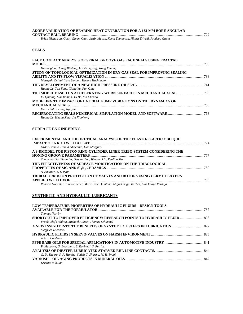|  |  |  |  | ADORE VALIDATION OF BEARING HEAT GENERATION FOR A 133-MM BORE ANGULAR |  |  |  |  |  |     |
|--|--|--|--|-----------------------------------------------------------------------|--|--|--|--|--|-----|
|  |  |  |  |                                                                       |  |  |  |  |  | 722 |

*Brian Nicholson, Garry Givan, Capt. Justin Mason, Kevin Thompson, Hitesh Trivedi, Pradeep Gupta* 

# **SEALS**

| <b>FACE CONTACT ANALYSIS OF SPIRAL GROOVE GAS FACE SEALS USING FRACTAL</b> |  |
|----------------------------------------------------------------------------|--|
|                                                                            |  |
| Hu Songtao, Huang Weifeng, Liu Xiangfeng, Wang Yuming                      |  |
| STUDY ON TOPOLOGICAL OPTIMIZATION IN DRY GAS SEAL FOR IMPROVING SEALING    |  |
|                                                                            |  |
| Masayuki Ochiai, Yuta Sunami, Hirimu Hashimoto                             |  |
|                                                                            |  |
| Huang Le, Tan Feng, Xiang Yu, Fan Qing                                     |  |
|                                                                            |  |
| Yu Qiuping, Sun Jianjun, Yu Bo, Ma Chenbo                                  |  |
| MODELING THE IMPACT OF LATERAL PUMP VIBRATIONS ON THE DYNAMICS OF          |  |
|                                                                            |  |
| Dara Childs, Hung Nguyen                                                   |  |
|                                                                            |  |
| Huang Le, Huang Xing, Jia Xiaohong                                         |  |
|                                                                            |  |

## **SURFACE ENGINEERING**

| EXPERIMENTAL AND THEORETICAL ANALYSIS OF THE ELASTO-PLASTIC OBLIQUE                            |  |
|------------------------------------------------------------------------------------------------|--|
|                                                                                                |  |
| Ozdes Cermik, Hamid Ghaednia, Dan Marghitu                                                     |  |
| A 3-DMODEL FOR PISTON RING-CYLINDER LINER TRIBO-SYSTEM CONSIDERING THE                         |  |
|                                                                                                |  |
| Tongyang Lia, Xiqun Lu, Dequan Zou, Wanyou Lia, Renlian Maa                                    |  |
| THE EFFECTIVENESS OF SURFACE MODIFICATION ON THE TRIBOLOGICAL                                  |  |
|                                                                                                |  |
| A. Amanov, Y. S. Pyun                                                                          |  |
| <b>TRIBO-CORROSION PROTECTION OF VALVES AND ROTORS USING CERMET LAYERS</b>                     |  |
|                                                                                                |  |
| Roberto Gonzalez, Julio Sanchez, Maria Jose Quintana, Miguel Angel Barbes, Luis Felipe Verdeja |  |

## **SYNTHETIC AND HYDRAULIC LUBRICANTS**

| <b>LOW TEMPERATURE PROPERTIES OF HYDRAULIC FLUIDS – DESIGN TOOLS</b> |     |
|----------------------------------------------------------------------|-----|
|                                                                      | 787 |
| <b>Thomas Norrby</b>                                                 |     |
|                                                                      |     |
| Frank-Olaf Mähling, Michaël Alibert, Thomas Schimmel                 |     |
|                                                                      |     |
| Siegfried Lucazeau                                                   |     |
|                                                                      |     |
| Arturo Cardenas                                                      |     |
|                                                                      |     |
| P. Maccone, G. Boccaletti, S. Rovinetti, S. Petricci                 |     |
|                                                                      |     |
| G. D. Thakre, S. P. Harsha, Satish C. Sharma, M. R. Tyagi            |     |
|                                                                      |     |
| Kristine Mikulan                                                     |     |